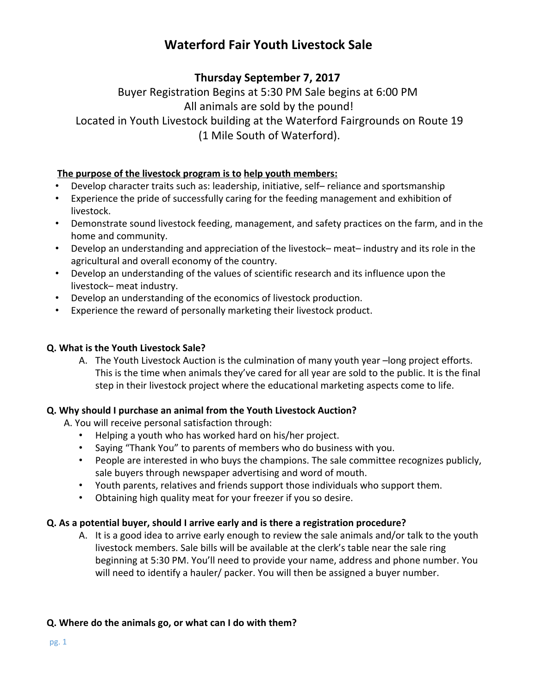# **Waterford Fair Youth Livestock Sale**

## **Thursday September 7, 2017**

Buyer Registration Begins at 5:30 PM Sale begins at 6:00 PM All animals are sold by the pound! Located in Youth Livestock building at the Waterford Fairgrounds on Route 19

(1 Mile South of Waterford).

### **The purpose of the livestock program is to help youth members:**

- Develop character traits such as: leadership, initiative, self– reliance and sportsmanship
- Experience the pride of successfully caring for the feeding management and exhibition of livestock.
- Demonstrate sound livestock feeding, management, and safety practices on the farm, and in the home and community.
- Develop an understanding and appreciation of the livestock– meat– industry and its role in the agricultural and overall economy of the country.
- Develop an understanding of the values of scientific research and its influence upon the livestock– meat industry.
- Develop an understanding of the economics of livestock production.
- Experience the reward of personally marketing their livestock product.

### **Q. What is the Youth Livestock Sale?**

A. The Youth Livestock Auction is the culmination of many youth year –long project efforts. This is the time when animals they've cared for all year are sold to the public. It is the final step in their livestock project where the educational marketing aspects come to life.

## **Q. Why should I purchase an animal from the Youth Livestock Auction?**

A. You will receive personal satisfaction through:

- Helping a youth who has worked hard on his/her project.
- Saying "Thank You" to parents of members who do business with you.
- People are interested in who buys the champions. The sale committee recognizes publicly, sale buyers through newspaper advertising and word of mouth.
- Youth parents, relatives and friends support those individuals who support them.
- Obtaining high quality meat for your freezer if you so desire.

### **Q. As a potential buyer, should I arrive early and is there a registration procedure?**

A. It is a good idea to arrive early enough to review the sale animals and/or talk to the youth livestock members. Sale bills will be available at the clerk's table near the sale ring beginning at 5:30 PM. You'll need to provide your name, address and phone number. You will need to identify a hauler/ packer. You will then be assigned a buyer number.

### **Q. Where do the animals go, or what can I do with them?**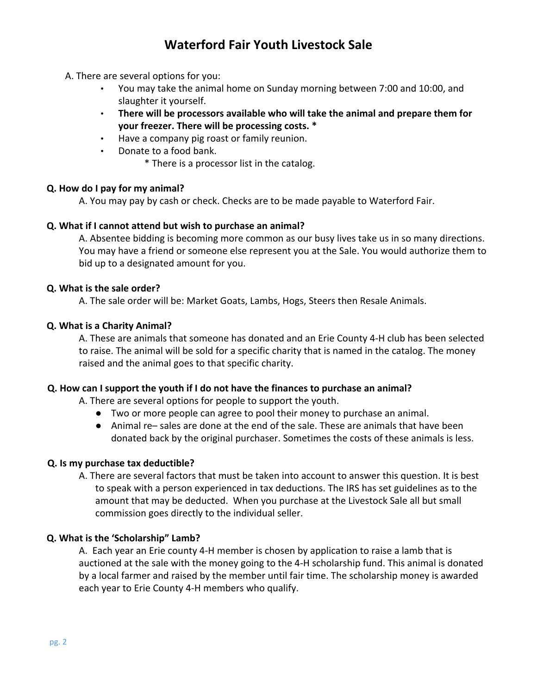# **Waterford Fair Youth Livestock Sale**

#### A. There are several options for you:

- You may take the animal home on Sunday morning between 7:00 and 10:00, and slaughter it yourself.
- **There will be processors available who will take the animal and prepare them for your freezer. There will be processing costs. \***
- Have a company pig roast or family reunion.
- Donate to a food bank.
	- \* There is a processor list in the catalog.

#### **Q. How do I pay for my animal?**

A. You may pay by cash or check. Checks are to be made payable to Waterford Fair.

#### **Q. What if I cannot attend but wish to purchase an animal?**

A. Absentee bidding is becoming more common as our busy lives take us in so many directions. You may have a friend or someone else represent you at the Sale. You would authorize them to bid up to a designated amount for you.

#### **Q. What is the sale order?**

A. The sale order will be: Market Goats, Lambs, Hogs, Steers then Resale Animals.

#### **Q. What is a Charity Animal?**

A. These are animals that someone has donated and an Erie County 4-H club has been selected to raise. The animal will be sold for a specific charity that is named in the catalog. The money raised and the animal goes to that specific charity.

#### **Q. How can I support the youth if I do not have the finances to purchase an animal?**

A. There are several options for people to support the youth.

- Two or more people can agree to pool their money to purchase an animal.
- Animal re– sales are done at the end of the sale. These are animals that have been donated back by the original purchaser. Sometimes the costs of these animals is less.

#### **Q. Is my purchase tax deductible?**

A. There are several factors that must be taken into account to answer this question. It is best to speak with a person experienced in tax deductions. The IRS has set guidelines as to the amount that may be deducted. When you purchase at the Livestock Sale all but small commission goes directly to the individual seller.

#### **Q. What is the 'Scholarship" Lamb?**

A. Each year an Erie county 4-H member is chosen by application to raise a lamb that is auctioned at the sale with the money going to the 4-H scholarship fund. This animal is donated by a local farmer and raised by the member until fair time. The scholarship money is awarded each year to Erie County 4-H members who qualify.